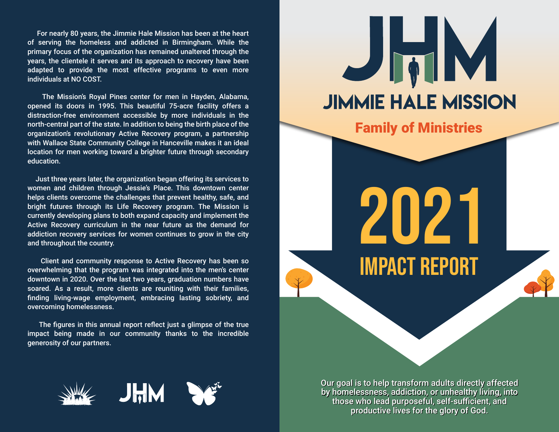For nearly 80 years, the Jimmie Hale Mission has been at the heart of serving the homeless and addicted in Birmingham. While the primary focus of the organization has remained unaltered through the years, the clientele it serves and its approach to recovery have been adapted to provide the most effective programs to even more individuals at NO COST.

The Mission's Royal Pines center for men in Hayden, Alabama, opened its doors in 1995. This beautiful 75-acre facility offers a distraction-free environment accessible by more individuals in the north-central part of the state. In addition to being the birth place of the organization's revolutionary Active Recovery program, a partnership with Wallace State Community College in Hanceville makes it an ideal location for men working toward a brighter future through secondary education.

Just three years later, the organization began offering its services to women and children through Jessie's Place. This downtown center helps clients overcome the challenges that prevent healthy, safe, and bright futures through its Life Recovery program. The Mission is currently developing plans to both expand capacity and implement the Active Recovery curriculum in the near future as the demand for addiction recovery services for women continues to grow in the city and throughout the country.

Client and community response to Active Recovery has been so overwhelming that the program was integrated into the men's center downtown in 2020. Over the last two years, graduation numbers have soared. As a result, more clients are reuniting with their families, finding living-wage employment, embracing lasting sobriety, and overcoming homelessness.

The figures in this annual report reflect just a glimpse of the true impact being made in our community thanks to the incredible generosity of our partners.







Our goal is to help transform adults directly affected by homelessness, addiction, or unhealthy living, into those who lead purposeful, self-sufficient, and productive lives for the glory of God.

**Family of Ministries**

**JIMMIE HALE MISSION** 

JhM

2021

IMPACT REPORT